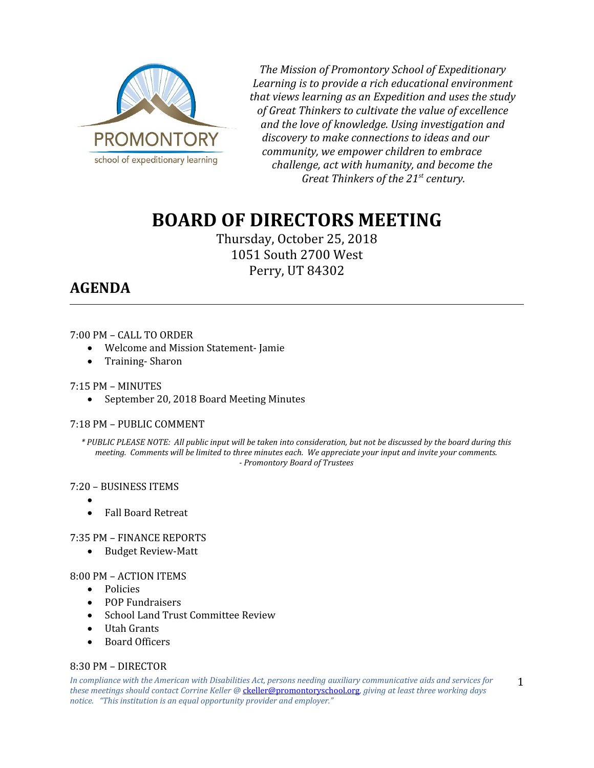

*The Mission of Promontory School of Expeditionary Learning is to provide a rich educational environment that views learning as an Expedition and uses the study of Great Thinkers to cultivate the value of excellence and the love of knowledge. Using investigation and discovery to make connections to ideas and our community, we empower children to embrace challenge, act with humanity, and become the Great Thinkers of the 21st century.*

# **BOARD OF DIRECTORS MEETING**

Thursday, October 25, 2018 1051 South 2700 West Perry, UT 84302

## **AGENDA**

### 7:00 PM – CALL TO ORDER

- Welcome and Mission Statement- Jamie
- Training-Sharon

#### 7:15 PM – MINUTES

September 20, 2018 Board Meeting Minutes

### 7:18 PM – PUBLIC COMMENT

*\* PUBLIC PLEASE NOTE: All public input will be taken into consideration, but not be discussed by the board during this meeting. Comments will be limited to three minutes each. We appreciate your input and invite your comments. - Promontory Board of Trustees*

#### 7:20 – BUSINESS ITEMS

- $\bullet$
- Fall Board Retreat

### 7:35 PM – FINANCE REPORTS

Budget Review-Matt

### 8:00 PM – ACTION ITEMS

- Policies
- POP Fundraisers
- School Land Trust Committee Review
- Utah Grants
- Board Officers

### 8:30 PM – DIRECTOR

*In compliance with the American with Disabilities Act, persons needing auxiliary communicative aids and services for these meetings should contact Corrine Keller @* [ckeller@promontoryschool.org](mailto:ckeller@promontoryschool.org)*, giving at least three working days notice. "This institution is an equal opportunity provider and employer."*

1